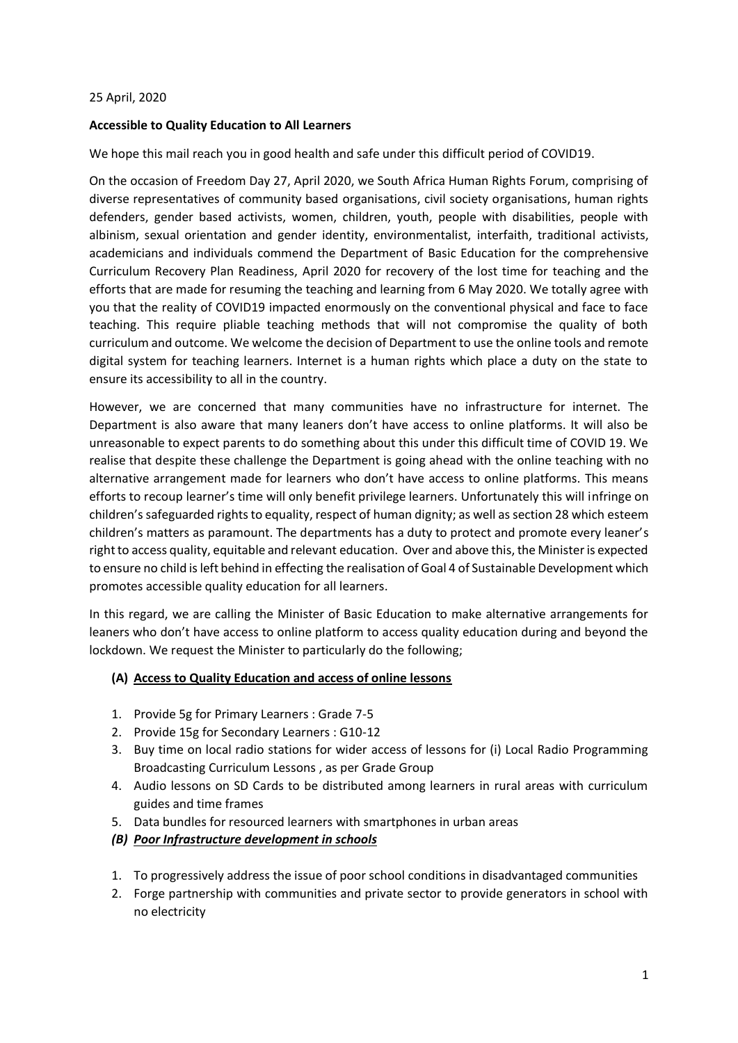### 25 April, 2020

### **Accessible to Quality Education to All Learners**

We hope this mail reach you in good health and safe under this difficult period of COVID19.

On the occasion of Freedom Day 27, April 2020, we South Africa Human Rights Forum, comprising of diverse representatives of community based organisations, civil society organisations, human rights defenders, gender based activists, women, children, youth, people with disabilities, people with albinism, sexual orientation and gender identity, environmentalist, interfaith, traditional activists, academicians and individuals commend the Department of Basic Education for the comprehensive Curriculum Recovery Plan Readiness, April 2020 for recovery of the lost time for teaching and the efforts that are made for resuming the teaching and learning from 6 May 2020. We totally agree with you that the reality of COVID19 impacted enormously on the conventional physical and face to face teaching. This require pliable teaching methods that will not compromise the quality of both curriculum and outcome. We welcome the decision of Department to use the online tools and remote digital system for teaching learners. Internet is a human rights which place a duty on the state to ensure its accessibility to all in the country.

However, we are concerned that many communities have no infrastructure for internet. The Department is also aware that many leaners don't have access to online platforms. It will also be unreasonable to expect parents to do something about this under this difficult time of COVID 19. We realise that despite these challenge the Department is going ahead with the online teaching with no alternative arrangement made for learners who don't have access to online platforms. This means efforts to recoup learner's time will only benefit privilege learners. Unfortunately this will infringe on children's safeguarded rights to equality, respect of human dignity; as well as section 28 which esteem children's matters as paramount. The departments has a duty to protect and promote every leaner's rightto access quality, equitable and relevant education. Over and above this, the Minister is expected to ensure no child is left behind in effecting the realisation of Goal 4 of Sustainable Development which promotes accessible quality education for all learners.

In this regard, we are calling the Minister of Basic Education to make alternative arrangements for leaners who don't have access to online platform to access quality education during and beyond the lockdown. We request the Minister to particularly do the following;

### **(A) Access to Quality Education and access of online lessons**

- 1. Provide 5g for Primary Learners : Grade 7-5
- 2. Provide 15g for Secondary Learners : G10-12
- 3. Buy time on local radio stations for wider access of lessons for (i) Local Radio Programming Broadcasting Curriculum Lessons , as per Grade Group
- 4. Audio lessons on SD Cards to be distributed among learners in rural areas with curriculum guides and time frames
- 5. Data bundles for resourced learners with smartphones in urban areas
- *(B) Poor Infrastructure development in schools*
- 1. To progressively address the issue of poor school conditions in disadvantaged communities
- 2. Forge partnership with communities and private sector to provide generators in school with no electricity